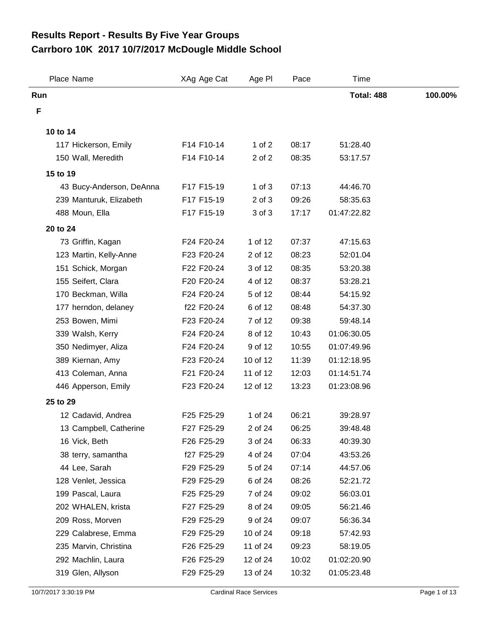## **Carrboro 10K 2017 10/7/2017 McDougle Middle School Results Report - Results By Five Year Groups**

| Place Name               | XAg Age Cat | Age PI     | Pace  | Time              |         |
|--------------------------|-------------|------------|-------|-------------------|---------|
| Run                      |             |            |       | <b>Total: 488</b> | 100.00% |
| F                        |             |            |       |                   |         |
| 10 to 14                 |             |            |       |                   |         |
| 117 Hickerson, Emily     | F14 F10-14  | 1 of $2$   | 08:17 | 51:28.40          |         |
| 150 Wall, Meredith       | F14 F10-14  | 2 of 2     | 08:35 | 53:17.57          |         |
| 15 to 19                 |             |            |       |                   |         |
| 43 Bucy-Anderson, DeAnna | F17 F15-19  | $1$ of $3$ | 07:13 | 44:46.70          |         |
| 239 Manturuk, Elizabeth  | F17 F15-19  | $2$ of $3$ | 09:26 | 58:35.63          |         |
| 488 Moun, Ella           | F17 F15-19  | 3 of 3     | 17:17 | 01:47:22.82       |         |
| 20 to 24                 |             |            |       |                   |         |
| 73 Griffin, Kagan        | F24 F20-24  | 1 of 12    | 07:37 | 47:15.63          |         |
| 123 Martin, Kelly-Anne   | F23 F20-24  | 2 of 12    | 08:23 | 52:01.04          |         |
| 151 Schick, Morgan       | F22 F20-24  | 3 of 12    | 08:35 | 53:20.38          |         |
| 155 Seifert, Clara       | F20 F20-24  | 4 of 12    | 08:37 | 53:28.21          |         |
| 170 Beckman, Willa       | F24 F20-24  | 5 of 12    | 08:44 | 54:15.92          |         |
| 177 herndon, delaney     | f22 F20-24  | 6 of 12    | 08:48 | 54:37.30          |         |
| 253 Bowen, Mimi          | F23 F20-24  | 7 of 12    | 09:38 | 59:48.14          |         |
| 339 Walsh, Kerry         | F24 F20-24  | 8 of 12    | 10:43 | 01:06:30.05       |         |
| 350 Nedimyer, Aliza      | F24 F20-24  | 9 of 12    | 10:55 | 01:07:49.96       |         |
| 389 Kiernan, Amy         | F23 F20-24  | 10 of 12   | 11:39 | 01:12:18.95       |         |
| 413 Coleman, Anna        | F21 F20-24  | 11 of 12   | 12:03 | 01:14:51.74       |         |
| 446 Apperson, Emily      | F23 F20-24  | 12 of 12   | 13:23 | 01:23:08.96       |         |
| 25 to 29                 |             |            |       |                   |         |
| 12 Cadavid, Andrea       | F25 F25-29  | 1 of 24    | 06:21 | 39:28.97          |         |
| 13 Campbell, Catherine   | F27 F25-29  | 2 of 24    | 06:25 | 39:48.48          |         |
| 16 Vick, Beth            | F26 F25-29  | 3 of 24    | 06:33 | 40:39.30          |         |
| 38 terry, samantha       | f27 F25-29  | 4 of 24    | 07:04 | 43:53.26          |         |
| 44 Lee, Sarah            | F29 F25-29  | 5 of 24    | 07:14 | 44:57.06          |         |
| 128 Venlet, Jessica      | F29 F25-29  | 6 of 24    | 08:26 | 52:21.72          |         |
| 199 Pascal, Laura        | F25 F25-29  | 7 of 24    | 09:02 | 56:03.01          |         |
| 202 WHALEN, krista       | F27 F25-29  | 8 of 24    | 09:05 | 56:21.46          |         |
| 209 Ross, Morven         | F29 F25-29  | 9 of 24    | 09:07 | 56:36.34          |         |
| 229 Calabrese, Emma      | F29 F25-29  | 10 of 24   | 09:18 | 57:42.93          |         |
| 235 Marvin, Christina    | F26 F25-29  | 11 of 24   | 09:23 | 58:19.05          |         |
| 292 Machlin, Laura       | F26 F25-29  | 12 of 24   | 10:02 | 01:02:20.90       |         |
| 319 Glen, Allyson        | F29 F25-29  | 13 of 24   | 10:32 | 01:05:23.48       |         |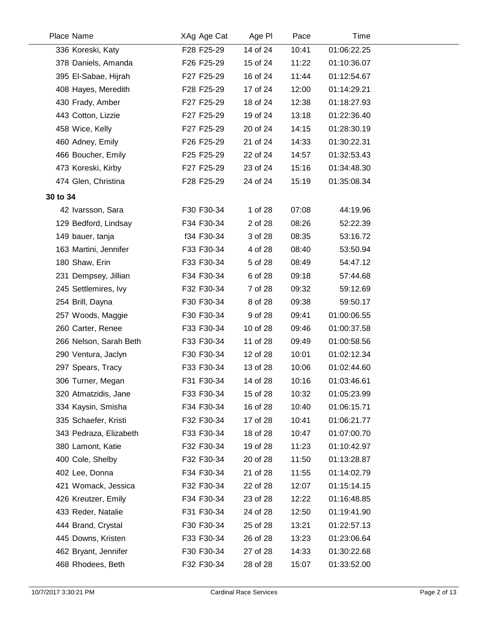|          | Place Name             | XAg Age Cat | Age PI   | Pace  | Time        |
|----------|------------------------|-------------|----------|-------|-------------|
|          | 336 Koreski, Katy      | F28 F25-29  | 14 of 24 | 10:41 | 01:06:22.25 |
|          | 378 Daniels, Amanda    | F26 F25-29  | 15 of 24 | 11:22 | 01:10:36.07 |
|          | 395 El-Sabae, Hijrah   | F27 F25-29  | 16 of 24 | 11:44 | 01:12:54.67 |
|          | 408 Hayes, Meredith    | F28 F25-29  | 17 of 24 | 12:00 | 01:14:29.21 |
|          | 430 Frady, Amber       | F27 F25-29  | 18 of 24 | 12:38 | 01:18:27.93 |
|          | 443 Cotton, Lizzie     | F27 F25-29  | 19 of 24 | 13:18 | 01:22:36.40 |
|          | 458 Wice, Kelly        | F27 F25-29  | 20 of 24 | 14:15 | 01:28:30.19 |
|          | 460 Adney, Emily       | F26 F25-29  | 21 of 24 | 14:33 | 01:30:22.31 |
|          | 466 Boucher, Emily     | F25 F25-29  | 22 of 24 | 14:57 | 01:32:53.43 |
|          | 473 Koreski, Kirby     | F27 F25-29  | 23 of 24 | 15:16 | 01:34:48.30 |
|          | 474 Glen, Christina    | F28 F25-29  | 24 of 24 | 15:19 | 01:35:08.34 |
| 30 to 34 |                        |             |          |       |             |
|          | 42 Ivarsson, Sara      | F30 F30-34  | 1 of 28  | 07:08 | 44:19.96    |
|          | 129 Bedford, Lindsay   | F34 F30-34  | 2 of 28  | 08:26 | 52:22.39    |
|          | 149 bauer, tanja       | f34 F30-34  | 3 of 28  | 08:35 | 53:16.72    |
|          | 163 Martini, Jennifer  | F33 F30-34  | 4 of 28  | 08:40 | 53:50.94    |
|          | 180 Shaw, Erin         | F33 F30-34  | 5 of 28  | 08:49 | 54:47.12    |
|          | 231 Dempsey, Jillian   | F34 F30-34  | 6 of 28  | 09:18 | 57:44.68    |
|          | 245 Settlemires, Ivy   | F32 F30-34  | 7 of 28  | 09:32 | 59:12.69    |
|          | 254 Brill, Dayna       | F30 F30-34  | 8 of 28  | 09:38 | 59:50.17    |
|          | 257 Woods, Maggie      | F30 F30-34  | 9 of 28  | 09:41 | 01:00:06.55 |
|          | 260 Carter, Renee      | F33 F30-34  | 10 of 28 | 09:46 | 01:00:37.58 |
|          | 266 Nelson, Sarah Beth | F33 F30-34  | 11 of 28 | 09:49 | 01:00:58.56 |
|          | 290 Ventura, Jaclyn    | F30 F30-34  | 12 of 28 | 10:01 | 01:02:12.34 |
|          | 297 Spears, Tracy      | F33 F30-34  | 13 of 28 | 10:06 | 01:02:44.60 |
|          | 306 Turner, Megan      | F31 F30-34  | 14 of 28 | 10:16 | 01:03:46.61 |
|          | 320 Atmatzidis, Jane   | F33 F30-34  | 15 of 28 | 10:32 | 01:05:23.99 |
|          | 334 Kaysin, Smisha     | F34 F30-34  | 16 of 28 | 10:40 | 01:06:15.71 |
|          | 335 Schaefer, Kristi   | F32 F30-34  | 17 of 28 | 10:41 | 01:06:21.77 |
|          | 343 Pedraza, Elizabeth | F33 F30-34  | 18 of 28 | 10:47 | 01:07:00.70 |
|          | 380 Lamont, Katie      | F32 F30-34  | 19 of 28 | 11:23 | 01:10:42.97 |
|          | 400 Cole, Shelby       | F32 F30-34  | 20 of 28 | 11:50 | 01:13:28.87 |
|          | 402 Lee, Donna         | F34 F30-34  | 21 of 28 | 11:55 | 01:14:02.79 |
|          | 421 Womack, Jessica    | F32 F30-34  | 22 of 28 | 12:07 | 01:15:14.15 |
|          | 426 Kreutzer, Emily    | F34 F30-34  | 23 of 28 | 12:22 | 01:16:48.85 |
|          | 433 Reder, Natalie     | F31 F30-34  | 24 of 28 | 12:50 | 01:19:41.90 |
|          | 444 Brand, Crystal     | F30 F30-34  | 25 of 28 | 13:21 | 01:22:57.13 |
|          | 445 Downs, Kristen     | F33 F30-34  | 26 of 28 | 13:23 | 01:23:06.64 |
|          | 462 Bryant, Jennifer   | F30 F30-34  | 27 of 28 | 14:33 | 01:30:22.68 |
|          | 468 Rhodees, Beth      | F32 F30-34  | 28 of 28 | 15:07 | 01:33:52.00 |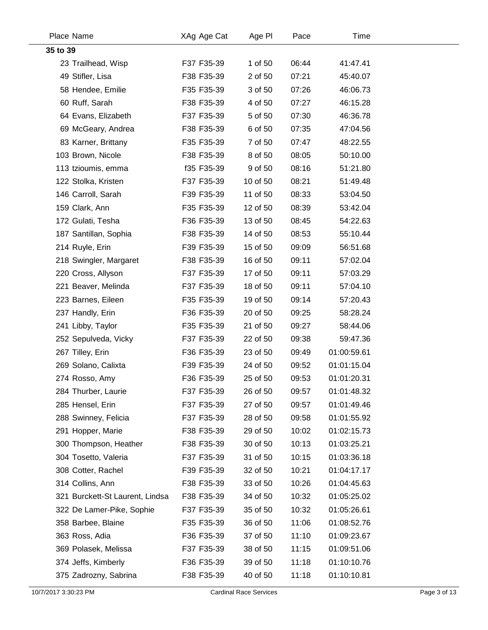|          | Place Name                      | XAg Age Cat | Age PI   | Pace  | Time        |
|----------|---------------------------------|-------------|----------|-------|-------------|
| 35 to 39 |                                 |             |          |       |             |
|          | 23 Trailhead, Wisp              | F37 F35-39  | 1 of 50  | 06:44 | 41:47.41    |
|          | 49 Stifler, Lisa                | F38 F35-39  | 2 of 50  | 07:21 | 45:40.07    |
|          | 58 Hendee, Emilie               | F35 F35-39  | 3 of 50  | 07:26 | 46:06.73    |
|          | 60 Ruff, Sarah                  | F38 F35-39  | 4 of 50  | 07:27 | 46:15.28    |
|          | 64 Evans, Elizabeth             | F37 F35-39  | 5 of 50  | 07:30 | 46:36.78    |
|          | 69 McGeary, Andrea              | F38 F35-39  | 6 of 50  | 07:35 | 47:04.56    |
|          | 83 Karner, Brittany             | F35 F35-39  | 7 of 50  | 07:47 | 48:22.55    |
|          | 103 Brown, Nicole               | F38 F35-39  | 8 of 50  | 08:05 | 50:10.00    |
|          | 113 tzioumis, emma              | f35 F35-39  | 9 of 50  | 08:16 | 51:21.80    |
|          | 122 Stolka, Kristen             | F37 F35-39  | 10 of 50 | 08:21 | 51:49.48    |
|          | 146 Carroll, Sarah              | F39 F35-39  | 11 of 50 | 08:33 | 53:04.50    |
|          | 159 Clark, Ann                  | F35 F35-39  | 12 of 50 | 08:39 | 53:42.04    |
|          | 172 Gulati, Tesha               | F36 F35-39  | 13 of 50 | 08:45 | 54:22.63    |
|          | 187 Santillan, Sophia           | F38 F35-39  | 14 of 50 | 08:53 | 55:10.44    |
|          | 214 Ruyle, Erin                 | F39 F35-39  | 15 of 50 | 09:09 | 56:51.68    |
|          | 218 Swingler, Margaret          | F38 F35-39  | 16 of 50 | 09:11 | 57:02.04    |
|          | 220 Cross, Allyson              | F37 F35-39  | 17 of 50 | 09:11 | 57:03.29    |
|          | 221 Beaver, Melinda             | F37 F35-39  | 18 of 50 | 09:11 | 57:04.10    |
|          | 223 Barnes, Eileen              | F35 F35-39  | 19 of 50 | 09:14 | 57:20.43    |
|          | 237 Handly, Erin                | F36 F35-39  | 20 of 50 | 09:25 | 58:28.24    |
|          | 241 Libby, Taylor               | F35 F35-39  | 21 of 50 | 09:27 | 58:44.06    |
|          | 252 Sepulveda, Vicky            | F37 F35-39  | 22 of 50 | 09:38 | 59:47.36    |
|          | 267 Tilley, Erin                | F36 F35-39  | 23 of 50 | 09:49 | 01:00:59.61 |
|          | 269 Solano, Calixta             | F39 F35-39  | 24 of 50 | 09:52 | 01:01:15.04 |
|          | 274 Rosso, Amy                  | F36 F35-39  | 25 of 50 | 09:53 | 01:01:20.31 |
|          | 284 Thurber, Laurie             | F37 F35-39  | 26 of 50 | 09:57 | 01:01:48.32 |
|          | 285 Hensel, Erin                | F37 F35-39  | 27 of 50 | 09:57 | 01:01:49.46 |
|          | 288 Swinney, Felicia            | F37 F35-39  | 28 of 50 | 09:58 | 01:01:55.92 |
|          | 291 Hopper, Marie               | F38 F35-39  | 29 of 50 | 10:02 | 01:02:15.73 |
|          | 300 Thompson, Heather           | F38 F35-39  | 30 of 50 | 10:13 | 01:03:25.21 |
|          | 304 Tosetto, Valeria            | F37 F35-39  | 31 of 50 | 10:15 | 01:03:36.18 |
|          | 308 Cotter, Rachel              | F39 F35-39  | 32 of 50 | 10:21 | 01:04:17.17 |
|          | 314 Collins, Ann                | F38 F35-39  | 33 of 50 | 10:26 | 01:04:45.63 |
|          | 321 Burckett-St Laurent, Lindsa | F38 F35-39  | 34 of 50 | 10:32 | 01:05:25.02 |
|          | 322 De Lamer-Pike, Sophie       | F37 F35-39  | 35 of 50 | 10:32 | 01:05:26.61 |
|          | 358 Barbee, Blaine              | F35 F35-39  | 36 of 50 | 11:06 | 01:08:52.76 |
|          | 363 Ross, Adia                  | F36 F35-39  | 37 of 50 | 11:10 | 01:09:23.67 |
|          | 369 Polasek, Melissa            | F37 F35-39  | 38 of 50 | 11:15 | 01:09:51.06 |
|          | 374 Jeffs, Kimberly             | F36 F35-39  | 39 of 50 | 11:18 | 01:10:10.76 |
|          | 375 Zadrozny, Sabrina           | F38 F35-39  | 40 of 50 | 11:18 | 01:10:10.81 |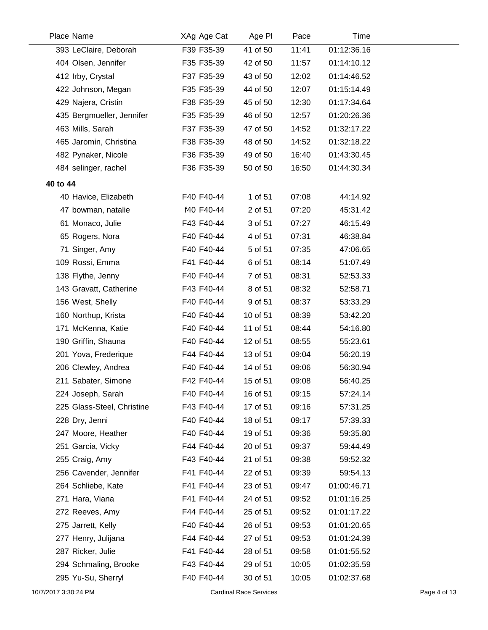|          | Place Name                 | XAg Age Cat | Age PI   | Pace  | Time        |
|----------|----------------------------|-------------|----------|-------|-------------|
|          | 393 LeClaire, Deborah      | F39 F35-39  | 41 of 50 | 11:41 | 01:12:36.16 |
|          | 404 Olsen, Jennifer        | F35 F35-39  | 42 of 50 | 11:57 | 01:14:10.12 |
|          | 412 Irby, Crystal          | F37 F35-39  | 43 of 50 | 12:02 | 01:14:46.52 |
|          | 422 Johnson, Megan         | F35 F35-39  | 44 of 50 | 12:07 | 01:15:14.49 |
|          | 429 Najera, Cristin        | F38 F35-39  | 45 of 50 | 12:30 | 01:17:34.64 |
|          | 435 Bergmueller, Jennifer  | F35 F35-39  | 46 of 50 | 12:57 | 01:20:26.36 |
|          | 463 Mills, Sarah           | F37 F35-39  | 47 of 50 | 14:52 | 01:32:17.22 |
|          | 465 Jaromin, Christina     | F38 F35-39  | 48 of 50 | 14:52 | 01:32:18.22 |
|          | 482 Pynaker, Nicole        | F36 F35-39  | 49 of 50 | 16:40 | 01:43:30.45 |
|          | 484 selinger, rachel       | F36 F35-39  | 50 of 50 | 16:50 | 01:44:30.34 |
| 40 to 44 |                            |             |          |       |             |
|          | 40 Havice, Elizabeth       | F40 F40-44  | 1 of 51  | 07:08 | 44:14.92    |
|          | 47 bowman, natalie         | f40 F40-44  | 2 of 51  | 07:20 | 45:31.42    |
|          | 61 Monaco, Julie           | F43 F40-44  | 3 of 51  | 07:27 | 46:15.49    |
|          | 65 Rogers, Nora            | F40 F40-44  | 4 of 51  | 07:31 | 46:38.84    |
|          | 71 Singer, Amy             | F40 F40-44  | 5 of 51  | 07:35 | 47:06.65    |
|          | 109 Rossi, Emma            | F41 F40-44  | 6 of 51  | 08:14 | 51:07.49    |
|          | 138 Flythe, Jenny          | F40 F40-44  | 7 of 51  | 08:31 | 52:53.33    |
|          | 143 Gravatt, Catherine     | F43 F40-44  | 8 of 51  | 08:32 | 52:58.71    |
|          | 156 West, Shelly           | F40 F40-44  | 9 of 51  | 08:37 | 53:33.29    |
|          | 160 Northup, Krista        | F40 F40-44  | 10 of 51 | 08:39 | 53:42.20    |
|          | 171 McKenna, Katie         | F40 F40-44  | 11 of 51 | 08:44 | 54:16.80    |
|          | 190 Griffin, Shauna        | F40 F40-44  | 12 of 51 | 08:55 | 55:23.61    |
|          | 201 Yova, Frederique       | F44 F40-44  | 13 of 51 | 09:04 | 56:20.19    |
|          | 206 Clewley, Andrea        | F40 F40-44  | 14 of 51 | 09:06 | 56:30.94    |
|          | 211 Sabater, Simone        | F42 F40-44  | 15 of 51 | 09:08 | 56:40.25    |
|          | 224 Joseph, Sarah          | F40 F40-44  | 16 of 51 | 09:15 | 57:24.14    |
|          | 225 Glass-Steel, Christine | F43 F40-44  | 17 of 51 | 09:16 | 57:31.25    |
|          | 228 Dry, Jenni             | F40 F40-44  | 18 of 51 | 09:17 | 57:39.33    |
|          | 247 Moore, Heather         | F40 F40-44  | 19 of 51 | 09:36 | 59:35.80    |
|          | 251 Garcia, Vicky          | F44 F40-44  | 20 of 51 | 09:37 | 59:44.49    |
|          | 255 Craig, Amy             | F43 F40-44  | 21 of 51 | 09:38 | 59:52.32    |
|          | 256 Cavender, Jennifer     | F41 F40-44  | 22 of 51 | 09:39 | 59:54.13    |
|          | 264 Schliebe, Kate         | F41 F40-44  | 23 of 51 | 09:47 | 01:00:46.71 |
|          | 271 Hara, Viana            | F41 F40-44  | 24 of 51 | 09:52 | 01:01:16.25 |
|          | 272 Reeves, Amy            | F44 F40-44  | 25 of 51 | 09:52 | 01:01:17.22 |
|          | 275 Jarrett, Kelly         | F40 F40-44  | 26 of 51 | 09:53 | 01:01:20.65 |
|          | 277 Henry, Julijana        | F44 F40-44  | 27 of 51 | 09:53 | 01:01:24.39 |
|          | 287 Ricker, Julie          | F41 F40-44  | 28 of 51 | 09:58 | 01:01:55.52 |
|          | 294 Schmaling, Brooke      | F43 F40-44  | 29 of 51 | 10:05 | 01:02:35.59 |
|          | 295 Yu-Su, Sherryl         | F40 F40-44  | 30 of 51 | 10:05 | 01:02:37.68 |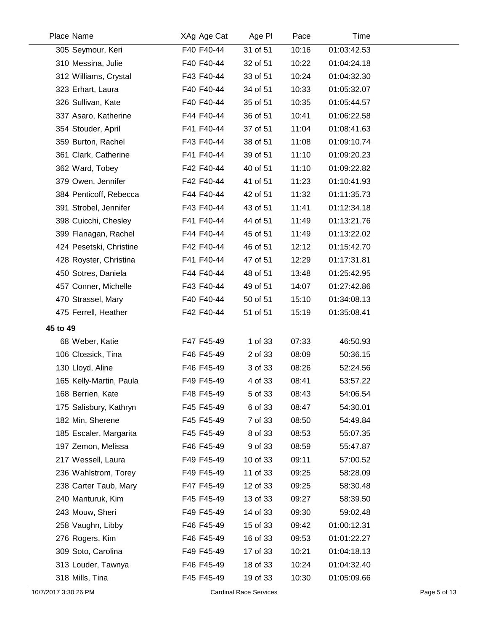| Place Name              | XAg Age Cat | Age PI   | Pace  | <b>Time</b> |  |
|-------------------------|-------------|----------|-------|-------------|--|
| 305 Seymour, Keri       | F40 F40-44  | 31 of 51 | 10:16 | 01:03:42.53 |  |
| 310 Messina, Julie      | F40 F40-44  | 32 of 51 | 10:22 | 01:04:24.18 |  |
| 312 Williams, Crystal   | F43 F40-44  | 33 of 51 | 10:24 | 01:04:32.30 |  |
| 323 Erhart, Laura       | F40 F40-44  | 34 of 51 | 10:33 | 01:05:32.07 |  |
| 326 Sullivan, Kate      | F40 F40-44  | 35 of 51 | 10:35 | 01:05:44.57 |  |
| 337 Asaro, Katherine    | F44 F40-44  | 36 of 51 | 10:41 | 01:06:22.58 |  |
| 354 Stouder, April      | F41 F40-44  | 37 of 51 | 11:04 | 01:08:41.63 |  |
| 359 Burton, Rachel      | F43 F40-44  | 38 of 51 | 11:08 | 01:09:10.74 |  |
| 361 Clark, Catherine    | F41 F40-44  | 39 of 51 | 11:10 | 01:09:20.23 |  |
| 362 Ward, Tobey         | F42 F40-44  | 40 of 51 | 11:10 | 01:09:22.82 |  |
| 379 Owen, Jennifer      | F42 F40-44  | 41 of 51 | 11:23 | 01:10:41.93 |  |
| 384 Penticoff, Rebecca  | F44 F40-44  | 42 of 51 | 11:32 | 01:11:35.73 |  |
| 391 Strobel, Jennifer   | F43 F40-44  | 43 of 51 | 11:41 | 01:12:34.18 |  |
| 398 Cuicchi, Chesley    | F41 F40-44  | 44 of 51 | 11:49 | 01:13:21.76 |  |
| 399 Flanagan, Rachel    | F44 F40-44  | 45 of 51 | 11:49 | 01:13:22.02 |  |
| 424 Pesetski, Christine | F42 F40-44  | 46 of 51 | 12:12 | 01:15:42.70 |  |
| 428 Royster, Christina  | F41 F40-44  | 47 of 51 | 12:29 | 01:17:31.81 |  |
| 450 Sotres, Daniela     | F44 F40-44  | 48 of 51 | 13:48 | 01:25:42.95 |  |
| 457 Conner, Michelle    | F43 F40-44  | 49 of 51 | 14:07 | 01:27:42.86 |  |
| 470 Strassel, Mary      | F40 F40-44  | 50 of 51 | 15:10 | 01:34:08.13 |  |
| 475 Ferrell, Heather    | F42 F40-44  | 51 of 51 | 15:19 | 01:35:08.41 |  |
| 45 to 49                |             |          |       |             |  |
| 68 Weber, Katie         | F47 F45-49  | 1 of 33  | 07:33 | 46:50.93    |  |
| 106 Clossick, Tina      | F46 F45-49  | 2 of 33  | 08:09 | 50:36.15    |  |
| 130 Lloyd, Aline        | F46 F45-49  | 3 of 33  | 08:26 | 52:24.56    |  |
| 165 Kelly-Martin, Paula | F49 F45-49  | 4 of 33  | 08:41 | 53:57.22    |  |
| 168 Berrien, Kate       | F48 F45-49  | 5 of 33  | 08:43 | 54:06.54    |  |
| 175 Salisbury, Kathryn  | F45 F45-49  | 6 of 33  | 08:47 | 54:30.01    |  |
| 182 Min, Sherene        | F45 F45-49  | 7 of 33  | 08:50 | 54:49.84    |  |
| 185 Escaler, Margarita  | F45 F45-49  | 8 of 33  | 08:53 | 55:07.35    |  |
| 197 Zemon, Melissa      | F46 F45-49  | 9 of 33  | 08:59 | 55:47.87    |  |
| 217 Wessell, Laura      | F49 F45-49  | 10 of 33 | 09:11 | 57:00.52    |  |
| 236 Wahlstrom, Torey    | F49 F45-49  | 11 of 33 | 09:25 | 58:28.09    |  |
| 238 Carter Taub, Mary   | F47 F45-49  | 12 of 33 | 09:25 | 58:30.48    |  |
| 240 Manturuk, Kim       | F45 F45-49  | 13 of 33 | 09:27 | 58:39.50    |  |
| 243 Mouw, Sheri         | F49 F45-49  | 14 of 33 | 09:30 | 59:02.48    |  |
| 258 Vaughn, Libby       | F46 F45-49  | 15 of 33 | 09:42 | 01:00:12.31 |  |
| 276 Rogers, Kim         | F46 F45-49  | 16 of 33 | 09:53 | 01:01:22.27 |  |
| 309 Soto, Carolina      | F49 F45-49  | 17 of 33 | 10:21 | 01:04:18.13 |  |
| 313 Louder, Tawnya      | F46 F45-49  | 18 of 33 | 10:24 | 01:04:32.40 |  |
| 318 Mills, Tina         | F45 F45-49  | 19 of 33 | 10:30 | 01:05:09.66 |  |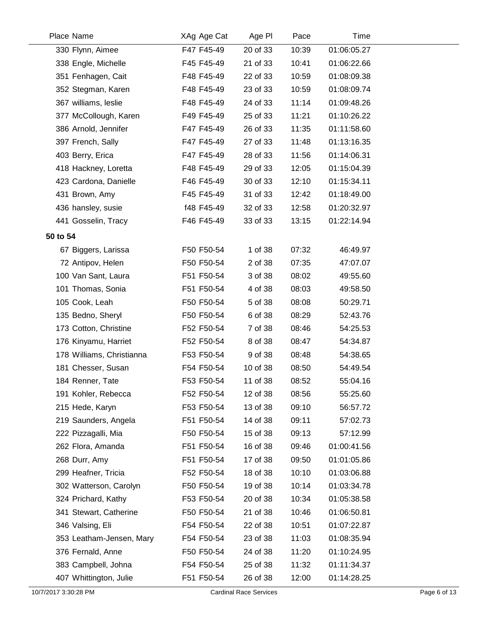| Place Name                | XAg Age Cat | Age PI   | Pace  | Time        |  |
|---------------------------|-------------|----------|-------|-------------|--|
| 330 Flynn, Aimee          | F47 F45-49  | 20 of 33 | 10:39 | 01:06:05.27 |  |
| 338 Engle, Michelle       | F45 F45-49  | 21 of 33 | 10:41 | 01:06:22.66 |  |
| 351 Fenhagen, Cait        | F48 F45-49  | 22 of 33 | 10:59 | 01:08:09.38 |  |
| 352 Stegman, Karen        | F48 F45-49  | 23 of 33 | 10:59 | 01:08:09.74 |  |
| 367 williams, leslie      | F48 F45-49  | 24 of 33 | 11:14 | 01:09:48.26 |  |
| 377 McCollough, Karen     | F49 F45-49  | 25 of 33 | 11:21 | 01:10:26.22 |  |
| 386 Arnold, Jennifer      | F47 F45-49  | 26 of 33 | 11:35 | 01:11:58.60 |  |
| 397 French, Sally         | F47 F45-49  | 27 of 33 | 11:48 | 01:13:16.35 |  |
| 403 Berry, Erica          | F47 F45-49  | 28 of 33 | 11:56 | 01:14:06.31 |  |
| 418 Hackney, Loretta      | F48 F45-49  | 29 of 33 | 12:05 | 01:15:04.39 |  |
| 423 Cardona, Danielle     | F46 F45-49  | 30 of 33 | 12:10 | 01:15:34.11 |  |
| 431 Brown, Amy            | F45 F45-49  | 31 of 33 | 12:42 | 01:18:49.00 |  |
| 436 hansley, susie        | f48 F45-49  | 32 of 33 | 12:58 | 01:20:32.97 |  |
| 441 Gosselin, Tracy       | F46 F45-49  | 33 of 33 | 13:15 | 01:22:14.94 |  |
| 50 to 54                  |             |          |       |             |  |
| 67 Biggers, Larissa       | F50 F50-54  | 1 of 38  | 07:32 | 46:49.97    |  |
| 72 Antipov, Helen         | F50 F50-54  | 2 of 38  | 07:35 | 47:07.07    |  |
| 100 Van Sant, Laura       | F51 F50-54  | 3 of 38  | 08:02 | 49:55.60    |  |
| 101 Thomas, Sonia         | F51 F50-54  | 4 of 38  | 08:03 | 49:58.50    |  |
| 105 Cook, Leah            | F50 F50-54  | 5 of 38  | 08:08 | 50:29.71    |  |
| 135 Bedno, Sheryl         | F50 F50-54  | 6 of 38  | 08:29 | 52:43.76    |  |
| 173 Cotton, Christine     | F52 F50-54  | 7 of 38  | 08:46 | 54:25.53    |  |
| 176 Kinyamu, Harriet      | F52 F50-54  | 8 of 38  | 08:47 | 54:34.87    |  |
| 178 Williams, Christianna | F53 F50-54  | 9 of 38  | 08:48 | 54:38.65    |  |
| 181 Chesser, Susan        | F54 F50-54  | 10 of 38 | 08:50 | 54:49.54    |  |
| 184 Renner, Tate          | F53 F50-54  | 11 of 38 | 08:52 | 55:04.16    |  |
| 191 Kohler, Rebecca       | F52 F50-54  | 12 of 38 | 08:56 | 55:25.60    |  |
| 215 Hede, Karyn           | F53 F50-54  | 13 of 38 | 09:10 | 56:57.72    |  |
| 219 Saunders, Angela      | F51 F50-54  | 14 of 38 | 09:11 | 57:02.73    |  |
| 222 Pizzagalli, Mia       | F50 F50-54  | 15 of 38 | 09:13 | 57:12.99    |  |
| 262 Flora, Amanda         | F51 F50-54  | 16 of 38 | 09:46 | 01:00:41.56 |  |
| 268 Durr, Amy             | F51 F50-54  | 17 of 38 | 09:50 | 01:01:05.86 |  |
| 299 Heafner, Tricia       | F52 F50-54  | 18 of 38 | 10:10 | 01:03:06.88 |  |
| 302 Watterson, Carolyn    | F50 F50-54  | 19 of 38 | 10:14 | 01:03:34.78 |  |
| 324 Prichard, Kathy       | F53 F50-54  | 20 of 38 | 10:34 | 01:05:38.58 |  |
| 341 Stewart, Catherine    | F50 F50-54  | 21 of 38 | 10:46 | 01:06:50.81 |  |
| 346 Valsing, Eli          | F54 F50-54  | 22 of 38 | 10:51 | 01:07:22.87 |  |
| 353 Leatham-Jensen, Mary  | F54 F50-54  | 23 of 38 | 11:03 | 01:08:35.94 |  |
| 376 Fernald, Anne         | F50 F50-54  | 24 of 38 | 11:20 | 01:10:24.95 |  |
| 383 Campbell, Johna       | F54 F50-54  | 25 of 38 | 11:32 | 01:11:34.37 |  |
| 407 Whittington, Julie    | F51 F50-54  | 26 of 38 | 12:00 | 01:14:28.25 |  |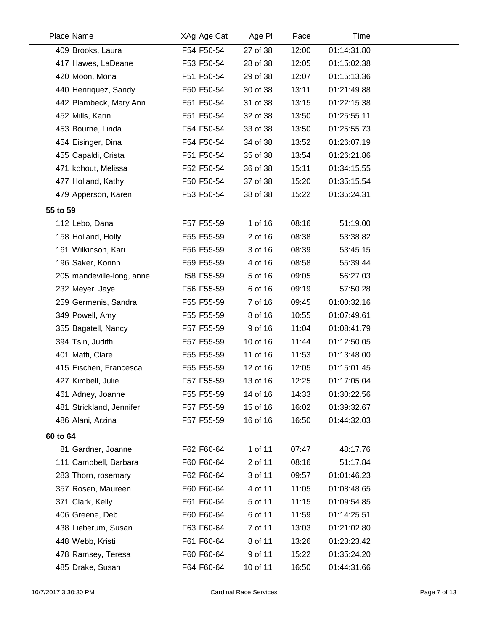| 27 of 38<br>12:00<br>01:14:31.80<br>409 Brooks, Laura<br>F54 F50-54<br>F53 F50-54<br>28 of 38<br>12:05<br>01:15:02.38<br>417 Hawes, LaDeane<br>420 Moon, Mona<br>F51 F50-54<br>29 of 38<br>12:07<br>01:15:13.36<br>440 Henriquez, Sandy<br>F50 F50-54<br>30 of 38<br>13:11<br>01:21:49.88<br>442 Plambeck, Mary Ann<br>F51 F50-54<br>31 of 38<br>13:15<br>01:22:15.38<br>452 Mills, Karin<br>F51 F50-54<br>13:50<br>01:25:55.11<br>32 of 38<br>453 Bourne, Linda<br>F54 F50-54<br>33 of 38<br>13:50<br>01:25:55.73<br>454 Eisinger, Dina<br>F54 F50-54<br>13:52<br>01:26:07.19<br>34 of 38<br>455 Capaldi, Crista<br>F51 F50-54<br>35 of 38<br>13:54<br>01:26:21.86<br>471 kohout, Melissa<br>F52 F50-54<br>15:11<br>01:34:15.55<br>36 of 38<br>477 Holland, Kathy<br>F50 F50-54<br>15:20<br>37 of 38<br>01:35:15.54<br>F53 F50-54<br>38 of 38<br>15:22<br>01:35:24.31<br>479 Apperson, Karen<br>55 to 59<br>1 of 16<br>08:16<br>F57 F55-59<br>51:19.00<br>112 Lebo, Dana<br>F55 F55-59<br>2 of 16<br>08:38<br>158 Holland, Holly<br>53:38.82<br>161 Wilkinson, Kari<br>F56 F55-59<br>3 of 16<br>08:39<br>53:45.15<br>196 Saker, Korinn<br>4 of 16<br>08:58<br>55:39.44<br>F59 F55-59<br>f58 F55-59<br>5 of 16<br>09:05<br>56:27.03<br>205 mandeville-long, anne<br>F56 F55-59<br>6 of 16<br>09:19<br>57:50.28<br>232 Meyer, Jaye<br>259 Germenis, Sandra<br>F55 F55-59<br>7 of 16<br>01:00:32.16<br>09:45<br>349 Powell, Amy<br>8 of 16<br>10:55<br>01:07:49.61<br>F55 F55-59<br>9 of 16<br>F57 F55-59<br>11:04<br>01:08:41.79<br>355 Bagatell, Nancy<br>F57 F55-59<br>10 of 16<br>01:12:50.05<br>394 Tsin, Judith<br>11:44<br>401 Matti, Clare<br>F55 F55-59<br>11 of 16<br>11:53<br>01:13:48.00<br>F55 F55-59<br>12 of 16<br>12:05<br>01:15:01.45<br>415 Eischen, Francesca<br>F57 F55-59<br>13 of 16<br>12:25<br>427 Kimbell, Julie<br>01:17:05.04<br>F55 F55-59<br>14 of 16<br>14:33<br>461 Adney, Joanne<br>01:30:22.56<br>15 of 16<br>481 Strickland, Jennifer<br>F57 F55-59<br>16:02<br>01:39:32.67<br>486 Alani, Arzina<br>F57 F55-59<br>16 of 16<br>16:50<br>01:44:32.03<br>60 to 64<br>1 of 11<br>81 Gardner, Joanne<br>F62 F60-64<br>07:47<br>48:17.76<br>111 Campbell, Barbara<br>F60 F60-64<br>2 of 11<br>08:16<br>51:17.84<br>F62 F60-64<br>3 of 11<br>09:57<br>01:01:46.23<br>283 Thorn, rosemary<br>357 Rosen, Maureen<br>F60 F60-64<br>4 of 11<br>11:05<br>01:08:48.65<br>371 Clark, Kelly<br>F61 F60-64<br>5 of 11<br>11:15<br>01:09:54.85<br>6 of 11<br>406 Greene, Deb<br>F60 F60-64<br>11:59<br>01:14:25.51<br>F63 F60-64<br>7 of 11<br>01:21:02.80<br>438 Lieberum, Susan<br>13:03<br>448 Webb, Kristi<br>F61 F60-64<br>8 of 11<br>13:26<br>01:23:23.42<br>478 Ramsey, Teresa<br>F60 F60-64<br>9 of 11<br>15:22<br>01:35:24.20<br>485 Drake, Susan | Place Name | XAg Age Cat | Age PI   | Pace  | Time        |
|---------------------------------------------------------------------------------------------------------------------------------------------------------------------------------------------------------------------------------------------------------------------------------------------------------------------------------------------------------------------------------------------------------------------------------------------------------------------------------------------------------------------------------------------------------------------------------------------------------------------------------------------------------------------------------------------------------------------------------------------------------------------------------------------------------------------------------------------------------------------------------------------------------------------------------------------------------------------------------------------------------------------------------------------------------------------------------------------------------------------------------------------------------------------------------------------------------------------------------------------------------------------------------------------------------------------------------------------------------------------------------------------------------------------------------------------------------------------------------------------------------------------------------------------------------------------------------------------------------------------------------------------------------------------------------------------------------------------------------------------------------------------------------------------------------------------------------------------------------------------------------------------------------------------------------------------------------------------------------------------------------------------------------------------------------------------------------------------------------------------------------------------------------------------------------------------------------------------------------------------------------------------------------------------------------------------------------------------------------------------------------------------------------------------------------------------------------------------------------------------------------------------------------------------------------------------------------------------------------------------------------------------------------------------------------------------------------------------------------------------------------------------------|------------|-------------|----------|-------|-------------|
|                                                                                                                                                                                                                                                                                                                                                                                                                                                                                                                                                                                                                                                                                                                                                                                                                                                                                                                                                                                                                                                                                                                                                                                                                                                                                                                                                                                                                                                                                                                                                                                                                                                                                                                                                                                                                                                                                                                                                                                                                                                                                                                                                                                                                                                                                                                                                                                                                                                                                                                                                                                                                                                                                                                                                                           |            |             |          |       |             |
|                                                                                                                                                                                                                                                                                                                                                                                                                                                                                                                                                                                                                                                                                                                                                                                                                                                                                                                                                                                                                                                                                                                                                                                                                                                                                                                                                                                                                                                                                                                                                                                                                                                                                                                                                                                                                                                                                                                                                                                                                                                                                                                                                                                                                                                                                                                                                                                                                                                                                                                                                                                                                                                                                                                                                                           |            |             |          |       |             |
|                                                                                                                                                                                                                                                                                                                                                                                                                                                                                                                                                                                                                                                                                                                                                                                                                                                                                                                                                                                                                                                                                                                                                                                                                                                                                                                                                                                                                                                                                                                                                                                                                                                                                                                                                                                                                                                                                                                                                                                                                                                                                                                                                                                                                                                                                                                                                                                                                                                                                                                                                                                                                                                                                                                                                                           |            |             |          |       |             |
|                                                                                                                                                                                                                                                                                                                                                                                                                                                                                                                                                                                                                                                                                                                                                                                                                                                                                                                                                                                                                                                                                                                                                                                                                                                                                                                                                                                                                                                                                                                                                                                                                                                                                                                                                                                                                                                                                                                                                                                                                                                                                                                                                                                                                                                                                                                                                                                                                                                                                                                                                                                                                                                                                                                                                                           |            |             |          |       |             |
|                                                                                                                                                                                                                                                                                                                                                                                                                                                                                                                                                                                                                                                                                                                                                                                                                                                                                                                                                                                                                                                                                                                                                                                                                                                                                                                                                                                                                                                                                                                                                                                                                                                                                                                                                                                                                                                                                                                                                                                                                                                                                                                                                                                                                                                                                                                                                                                                                                                                                                                                                                                                                                                                                                                                                                           |            |             |          |       |             |
|                                                                                                                                                                                                                                                                                                                                                                                                                                                                                                                                                                                                                                                                                                                                                                                                                                                                                                                                                                                                                                                                                                                                                                                                                                                                                                                                                                                                                                                                                                                                                                                                                                                                                                                                                                                                                                                                                                                                                                                                                                                                                                                                                                                                                                                                                                                                                                                                                                                                                                                                                                                                                                                                                                                                                                           |            |             |          |       |             |
|                                                                                                                                                                                                                                                                                                                                                                                                                                                                                                                                                                                                                                                                                                                                                                                                                                                                                                                                                                                                                                                                                                                                                                                                                                                                                                                                                                                                                                                                                                                                                                                                                                                                                                                                                                                                                                                                                                                                                                                                                                                                                                                                                                                                                                                                                                                                                                                                                                                                                                                                                                                                                                                                                                                                                                           |            |             |          |       |             |
|                                                                                                                                                                                                                                                                                                                                                                                                                                                                                                                                                                                                                                                                                                                                                                                                                                                                                                                                                                                                                                                                                                                                                                                                                                                                                                                                                                                                                                                                                                                                                                                                                                                                                                                                                                                                                                                                                                                                                                                                                                                                                                                                                                                                                                                                                                                                                                                                                                                                                                                                                                                                                                                                                                                                                                           |            |             |          |       |             |
|                                                                                                                                                                                                                                                                                                                                                                                                                                                                                                                                                                                                                                                                                                                                                                                                                                                                                                                                                                                                                                                                                                                                                                                                                                                                                                                                                                                                                                                                                                                                                                                                                                                                                                                                                                                                                                                                                                                                                                                                                                                                                                                                                                                                                                                                                                                                                                                                                                                                                                                                                                                                                                                                                                                                                                           |            |             |          |       |             |
|                                                                                                                                                                                                                                                                                                                                                                                                                                                                                                                                                                                                                                                                                                                                                                                                                                                                                                                                                                                                                                                                                                                                                                                                                                                                                                                                                                                                                                                                                                                                                                                                                                                                                                                                                                                                                                                                                                                                                                                                                                                                                                                                                                                                                                                                                                                                                                                                                                                                                                                                                                                                                                                                                                                                                                           |            |             |          |       |             |
|                                                                                                                                                                                                                                                                                                                                                                                                                                                                                                                                                                                                                                                                                                                                                                                                                                                                                                                                                                                                                                                                                                                                                                                                                                                                                                                                                                                                                                                                                                                                                                                                                                                                                                                                                                                                                                                                                                                                                                                                                                                                                                                                                                                                                                                                                                                                                                                                                                                                                                                                                                                                                                                                                                                                                                           |            |             |          |       |             |
|                                                                                                                                                                                                                                                                                                                                                                                                                                                                                                                                                                                                                                                                                                                                                                                                                                                                                                                                                                                                                                                                                                                                                                                                                                                                                                                                                                                                                                                                                                                                                                                                                                                                                                                                                                                                                                                                                                                                                                                                                                                                                                                                                                                                                                                                                                                                                                                                                                                                                                                                                                                                                                                                                                                                                                           |            |             |          |       |             |
|                                                                                                                                                                                                                                                                                                                                                                                                                                                                                                                                                                                                                                                                                                                                                                                                                                                                                                                                                                                                                                                                                                                                                                                                                                                                                                                                                                                                                                                                                                                                                                                                                                                                                                                                                                                                                                                                                                                                                                                                                                                                                                                                                                                                                                                                                                                                                                                                                                                                                                                                                                                                                                                                                                                                                                           |            |             |          |       |             |
|                                                                                                                                                                                                                                                                                                                                                                                                                                                                                                                                                                                                                                                                                                                                                                                                                                                                                                                                                                                                                                                                                                                                                                                                                                                                                                                                                                                                                                                                                                                                                                                                                                                                                                                                                                                                                                                                                                                                                                                                                                                                                                                                                                                                                                                                                                                                                                                                                                                                                                                                                                                                                                                                                                                                                                           |            |             |          |       |             |
|                                                                                                                                                                                                                                                                                                                                                                                                                                                                                                                                                                                                                                                                                                                                                                                                                                                                                                                                                                                                                                                                                                                                                                                                                                                                                                                                                                                                                                                                                                                                                                                                                                                                                                                                                                                                                                                                                                                                                                                                                                                                                                                                                                                                                                                                                                                                                                                                                                                                                                                                                                                                                                                                                                                                                                           |            |             |          |       |             |
|                                                                                                                                                                                                                                                                                                                                                                                                                                                                                                                                                                                                                                                                                                                                                                                                                                                                                                                                                                                                                                                                                                                                                                                                                                                                                                                                                                                                                                                                                                                                                                                                                                                                                                                                                                                                                                                                                                                                                                                                                                                                                                                                                                                                                                                                                                                                                                                                                                                                                                                                                                                                                                                                                                                                                                           |            |             |          |       |             |
|                                                                                                                                                                                                                                                                                                                                                                                                                                                                                                                                                                                                                                                                                                                                                                                                                                                                                                                                                                                                                                                                                                                                                                                                                                                                                                                                                                                                                                                                                                                                                                                                                                                                                                                                                                                                                                                                                                                                                                                                                                                                                                                                                                                                                                                                                                                                                                                                                                                                                                                                                                                                                                                                                                                                                                           |            |             |          |       |             |
|                                                                                                                                                                                                                                                                                                                                                                                                                                                                                                                                                                                                                                                                                                                                                                                                                                                                                                                                                                                                                                                                                                                                                                                                                                                                                                                                                                                                                                                                                                                                                                                                                                                                                                                                                                                                                                                                                                                                                                                                                                                                                                                                                                                                                                                                                                                                                                                                                                                                                                                                                                                                                                                                                                                                                                           |            |             |          |       |             |
|                                                                                                                                                                                                                                                                                                                                                                                                                                                                                                                                                                                                                                                                                                                                                                                                                                                                                                                                                                                                                                                                                                                                                                                                                                                                                                                                                                                                                                                                                                                                                                                                                                                                                                                                                                                                                                                                                                                                                                                                                                                                                                                                                                                                                                                                                                                                                                                                                                                                                                                                                                                                                                                                                                                                                                           |            |             |          |       |             |
|                                                                                                                                                                                                                                                                                                                                                                                                                                                                                                                                                                                                                                                                                                                                                                                                                                                                                                                                                                                                                                                                                                                                                                                                                                                                                                                                                                                                                                                                                                                                                                                                                                                                                                                                                                                                                                                                                                                                                                                                                                                                                                                                                                                                                                                                                                                                                                                                                                                                                                                                                                                                                                                                                                                                                                           |            |             |          |       |             |
|                                                                                                                                                                                                                                                                                                                                                                                                                                                                                                                                                                                                                                                                                                                                                                                                                                                                                                                                                                                                                                                                                                                                                                                                                                                                                                                                                                                                                                                                                                                                                                                                                                                                                                                                                                                                                                                                                                                                                                                                                                                                                                                                                                                                                                                                                                                                                                                                                                                                                                                                                                                                                                                                                                                                                                           |            |             |          |       |             |
|                                                                                                                                                                                                                                                                                                                                                                                                                                                                                                                                                                                                                                                                                                                                                                                                                                                                                                                                                                                                                                                                                                                                                                                                                                                                                                                                                                                                                                                                                                                                                                                                                                                                                                                                                                                                                                                                                                                                                                                                                                                                                                                                                                                                                                                                                                                                                                                                                                                                                                                                                                                                                                                                                                                                                                           |            |             |          |       |             |
|                                                                                                                                                                                                                                                                                                                                                                                                                                                                                                                                                                                                                                                                                                                                                                                                                                                                                                                                                                                                                                                                                                                                                                                                                                                                                                                                                                                                                                                                                                                                                                                                                                                                                                                                                                                                                                                                                                                                                                                                                                                                                                                                                                                                                                                                                                                                                                                                                                                                                                                                                                                                                                                                                                                                                                           |            |             |          |       |             |
|                                                                                                                                                                                                                                                                                                                                                                                                                                                                                                                                                                                                                                                                                                                                                                                                                                                                                                                                                                                                                                                                                                                                                                                                                                                                                                                                                                                                                                                                                                                                                                                                                                                                                                                                                                                                                                                                                                                                                                                                                                                                                                                                                                                                                                                                                                                                                                                                                                                                                                                                                                                                                                                                                                                                                                           |            |             |          |       |             |
|                                                                                                                                                                                                                                                                                                                                                                                                                                                                                                                                                                                                                                                                                                                                                                                                                                                                                                                                                                                                                                                                                                                                                                                                                                                                                                                                                                                                                                                                                                                                                                                                                                                                                                                                                                                                                                                                                                                                                                                                                                                                                                                                                                                                                                                                                                                                                                                                                                                                                                                                                                                                                                                                                                                                                                           |            |             |          |       |             |
|                                                                                                                                                                                                                                                                                                                                                                                                                                                                                                                                                                                                                                                                                                                                                                                                                                                                                                                                                                                                                                                                                                                                                                                                                                                                                                                                                                                                                                                                                                                                                                                                                                                                                                                                                                                                                                                                                                                                                                                                                                                                                                                                                                                                                                                                                                                                                                                                                                                                                                                                                                                                                                                                                                                                                                           |            |             |          |       |             |
|                                                                                                                                                                                                                                                                                                                                                                                                                                                                                                                                                                                                                                                                                                                                                                                                                                                                                                                                                                                                                                                                                                                                                                                                                                                                                                                                                                                                                                                                                                                                                                                                                                                                                                                                                                                                                                                                                                                                                                                                                                                                                                                                                                                                                                                                                                                                                                                                                                                                                                                                                                                                                                                                                                                                                                           |            |             |          |       |             |
|                                                                                                                                                                                                                                                                                                                                                                                                                                                                                                                                                                                                                                                                                                                                                                                                                                                                                                                                                                                                                                                                                                                                                                                                                                                                                                                                                                                                                                                                                                                                                                                                                                                                                                                                                                                                                                                                                                                                                                                                                                                                                                                                                                                                                                                                                                                                                                                                                                                                                                                                                                                                                                                                                                                                                                           |            |             |          |       |             |
|                                                                                                                                                                                                                                                                                                                                                                                                                                                                                                                                                                                                                                                                                                                                                                                                                                                                                                                                                                                                                                                                                                                                                                                                                                                                                                                                                                                                                                                                                                                                                                                                                                                                                                                                                                                                                                                                                                                                                                                                                                                                                                                                                                                                                                                                                                                                                                                                                                                                                                                                                                                                                                                                                                                                                                           |            |             |          |       |             |
|                                                                                                                                                                                                                                                                                                                                                                                                                                                                                                                                                                                                                                                                                                                                                                                                                                                                                                                                                                                                                                                                                                                                                                                                                                                                                                                                                                                                                                                                                                                                                                                                                                                                                                                                                                                                                                                                                                                                                                                                                                                                                                                                                                                                                                                                                                                                                                                                                                                                                                                                                                                                                                                                                                                                                                           |            |             |          |       |             |
|                                                                                                                                                                                                                                                                                                                                                                                                                                                                                                                                                                                                                                                                                                                                                                                                                                                                                                                                                                                                                                                                                                                                                                                                                                                                                                                                                                                                                                                                                                                                                                                                                                                                                                                                                                                                                                                                                                                                                                                                                                                                                                                                                                                                                                                                                                                                                                                                                                                                                                                                                                                                                                                                                                                                                                           |            |             |          |       |             |
|                                                                                                                                                                                                                                                                                                                                                                                                                                                                                                                                                                                                                                                                                                                                                                                                                                                                                                                                                                                                                                                                                                                                                                                                                                                                                                                                                                                                                                                                                                                                                                                                                                                                                                                                                                                                                                                                                                                                                                                                                                                                                                                                                                                                                                                                                                                                                                                                                                                                                                                                                                                                                                                                                                                                                                           |            |             |          |       |             |
|                                                                                                                                                                                                                                                                                                                                                                                                                                                                                                                                                                                                                                                                                                                                                                                                                                                                                                                                                                                                                                                                                                                                                                                                                                                                                                                                                                                                                                                                                                                                                                                                                                                                                                                                                                                                                                                                                                                                                                                                                                                                                                                                                                                                                                                                                                                                                                                                                                                                                                                                                                                                                                                                                                                                                                           |            |             |          |       |             |
|                                                                                                                                                                                                                                                                                                                                                                                                                                                                                                                                                                                                                                                                                                                                                                                                                                                                                                                                                                                                                                                                                                                                                                                                                                                                                                                                                                                                                                                                                                                                                                                                                                                                                                                                                                                                                                                                                                                                                                                                                                                                                                                                                                                                                                                                                                                                                                                                                                                                                                                                                                                                                                                                                                                                                                           |            |             |          |       |             |
|                                                                                                                                                                                                                                                                                                                                                                                                                                                                                                                                                                                                                                                                                                                                                                                                                                                                                                                                                                                                                                                                                                                                                                                                                                                                                                                                                                                                                                                                                                                                                                                                                                                                                                                                                                                                                                                                                                                                                                                                                                                                                                                                                                                                                                                                                                                                                                                                                                                                                                                                                                                                                                                                                                                                                                           |            |             |          |       |             |
|                                                                                                                                                                                                                                                                                                                                                                                                                                                                                                                                                                                                                                                                                                                                                                                                                                                                                                                                                                                                                                                                                                                                                                                                                                                                                                                                                                                                                                                                                                                                                                                                                                                                                                                                                                                                                                                                                                                                                                                                                                                                                                                                                                                                                                                                                                                                                                                                                                                                                                                                                                                                                                                                                                                                                                           |            |             |          |       |             |
|                                                                                                                                                                                                                                                                                                                                                                                                                                                                                                                                                                                                                                                                                                                                                                                                                                                                                                                                                                                                                                                                                                                                                                                                                                                                                                                                                                                                                                                                                                                                                                                                                                                                                                                                                                                                                                                                                                                                                                                                                                                                                                                                                                                                                                                                                                                                                                                                                                                                                                                                                                                                                                                                                                                                                                           |            |             |          |       |             |
|                                                                                                                                                                                                                                                                                                                                                                                                                                                                                                                                                                                                                                                                                                                                                                                                                                                                                                                                                                                                                                                                                                                                                                                                                                                                                                                                                                                                                                                                                                                                                                                                                                                                                                                                                                                                                                                                                                                                                                                                                                                                                                                                                                                                                                                                                                                                                                                                                                                                                                                                                                                                                                                                                                                                                                           |            |             |          |       |             |
|                                                                                                                                                                                                                                                                                                                                                                                                                                                                                                                                                                                                                                                                                                                                                                                                                                                                                                                                                                                                                                                                                                                                                                                                                                                                                                                                                                                                                                                                                                                                                                                                                                                                                                                                                                                                                                                                                                                                                                                                                                                                                                                                                                                                                                                                                                                                                                                                                                                                                                                                                                                                                                                                                                                                                                           |            |             |          |       |             |
|                                                                                                                                                                                                                                                                                                                                                                                                                                                                                                                                                                                                                                                                                                                                                                                                                                                                                                                                                                                                                                                                                                                                                                                                                                                                                                                                                                                                                                                                                                                                                                                                                                                                                                                                                                                                                                                                                                                                                                                                                                                                                                                                                                                                                                                                                                                                                                                                                                                                                                                                                                                                                                                                                                                                                                           |            | F64 F60-64  | 10 of 11 | 16:50 | 01:44:31.66 |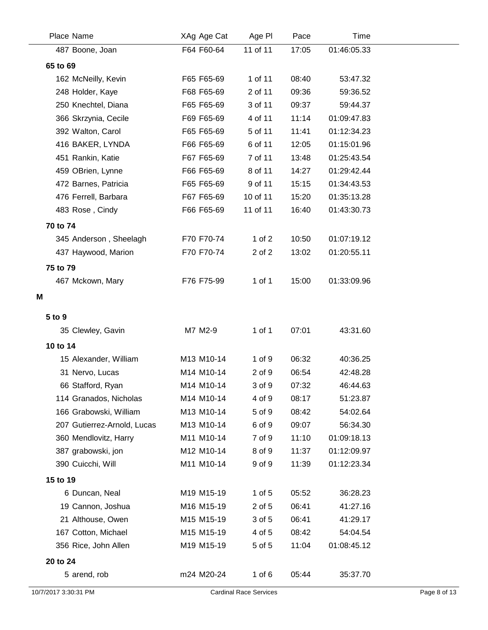|          | Place Name                  | XAg Age Cat | Age PI     | Pace  | <b>Time</b> |
|----------|-----------------------------|-------------|------------|-------|-------------|
|          | 487 Boone, Joan             | F64 F60-64  | 11 of 11   | 17:05 | 01:46:05.33 |
| 65 to 69 |                             |             |            |       |             |
|          | 162 McNeilly, Kevin         | F65 F65-69  | 1 of 11    | 08:40 | 53:47.32    |
|          | 248 Holder, Kaye            | F68 F65-69  | 2 of 11    | 09:36 | 59:36.52    |
|          | 250 Knechtel, Diana         | F65 F65-69  | 3 of 11    | 09:37 | 59:44.37    |
|          | 366 Skrzynia, Cecile        | F69 F65-69  | 4 of 11    | 11:14 | 01:09:47.83 |
|          | 392 Walton, Carol           | F65 F65-69  | 5 of 11    | 11:41 | 01:12:34.23 |
|          | 416 BAKER, LYNDA            | F66 F65-69  | 6 of 11    | 12:05 | 01:15:01.96 |
|          | 451 Rankin, Katie           | F67 F65-69  | 7 of 11    | 13:48 | 01:25:43.54 |
|          | 459 OBrien, Lynne           | F66 F65-69  | 8 of 11    | 14:27 | 01:29:42.44 |
|          | 472 Barnes, Patricia        | F65 F65-69  | 9 of 11    | 15:15 | 01:34:43.53 |
|          | 476 Ferrell, Barbara        | F67 F65-69  | 10 of 11   | 15:20 | 01:35:13.28 |
|          | 483 Rose, Cindy             | F66 F65-69  | 11 of 11   | 16:40 | 01:43:30.73 |
| 70 to 74 |                             |             |            |       |             |
|          | 345 Anderson, Sheelagh      | F70 F70-74  | $1$ of $2$ | 10:50 | 01:07:19.12 |
|          | 437 Haywood, Marion         | F70 F70-74  | 2 of 2     | 13:02 | 01:20:55.11 |
| 75 to 79 |                             |             |            |       |             |
|          | 467 Mckown, Mary            | F76 F75-99  | 1 of 1     | 15:00 | 01:33:09.96 |
| M        |                             |             |            |       |             |
|          |                             |             |            |       |             |
| 5 to 9   |                             |             |            |       |             |
|          | 35 Clewley, Gavin           | M7 M2-9     | $1$ of $1$ | 07:01 | 43:31.60    |
| 10 to 14 |                             |             |            |       |             |
|          | 15 Alexander, William       | M13 M10-14  | 1 of 9     | 06:32 | 40:36.25    |
|          | 31 Nervo, Lucas             | M14 M10-14  | 2 of 9     | 06:54 | 42:48.28    |
|          | 66 Stafford, Ryan           | M14 M10-14  | 3 of 9     | 07:32 | 46:44.63    |
|          | 114 Granados, Nicholas      | M14 M10-14  | 4 of 9     | 08:17 | 51:23.87    |
|          | 166 Grabowski, William      | M13 M10-14  | 5 of 9     | 08:42 | 54:02.64    |
|          | 207 Gutierrez-Arnold, Lucas | M13 M10-14  | 6 of 9     | 09:07 | 56:34.30    |
|          | 360 Mendlovitz, Harry       | M11 M10-14  | 7 of 9     | 11:10 | 01:09:18.13 |
|          | 387 grabowski, jon          | M12 M10-14  | 8 of 9     | 11:37 | 01:12:09.97 |
|          | 390 Cuicchi, Will           | M11 M10-14  | 9 of 9     | 11:39 | 01:12:23.34 |
| 15 to 19 |                             |             |            |       |             |
|          | 6 Duncan, Neal              | M19 M15-19  | $1$ of $5$ | 05:52 | 36:28.23    |
|          | 19 Cannon, Joshua           | M16 M15-19  | 2 of 5     | 06:41 | 41:27.16    |
|          | 21 Althouse, Owen           | M15 M15-19  | 3 of 5     | 06:41 | 41:29.17    |
|          | 167 Cotton, Michael         | M15 M15-19  | 4 of 5     | 08:42 | 54:04.54    |
|          | 356 Rice, John Allen        | M19 M15-19  | 5 of 5     | 11:04 | 01:08:45.12 |
| 20 to 24 |                             |             |            |       |             |
|          | 5 arend, rob                | m24 M20-24  | 1 of $6$   | 05:44 | 35:37.70    |
|          |                             |             |            |       |             |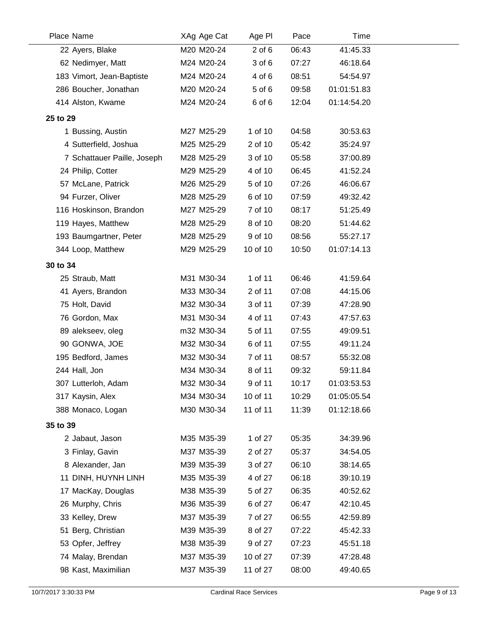|          | Place Name                  | XAg Age Cat | Age PI     | Pace  | Time        |
|----------|-----------------------------|-------------|------------|-------|-------------|
|          | 22 Ayers, Blake             | M20 M20-24  | $2$ of $6$ | 06:43 | 41:45.33    |
|          | 62 Nedimyer, Matt           | M24 M20-24  | 3 of 6     | 07:27 | 46:18.64    |
|          | 183 Vimort, Jean-Baptiste   | M24 M20-24  | 4 of 6     | 08:51 | 54:54.97    |
|          | 286 Boucher, Jonathan       | M20 M20-24  | 5 of 6     | 09:58 | 01:01:51.83 |
|          | 414 Alston, Kwame           | M24 M20-24  | 6 of 6     | 12:04 | 01:14:54.20 |
| 25 to 29 |                             |             |            |       |             |
|          | 1 Bussing, Austin           | M27 M25-29  | 1 of 10    | 04:58 | 30:53.63    |
|          | 4 Sutterfield, Joshua       | M25 M25-29  | 2 of 10    | 05:42 | 35:24.97    |
|          | 7 Schattauer Paille, Joseph | M28 M25-29  | 3 of 10    | 05:58 | 37:00.89    |
|          | 24 Philip, Cotter           | M29 M25-29  | 4 of 10    | 06:45 | 41:52.24    |
|          | 57 McLane, Patrick          | M26 M25-29  | 5 of 10    | 07:26 | 46:06.67    |
|          | 94 Furzer, Oliver           | M28 M25-29  | 6 of 10    | 07:59 | 49:32.42    |
|          | 116 Hoskinson, Brandon      | M27 M25-29  | 7 of 10    | 08:17 | 51:25.49    |
|          | 119 Hayes, Matthew          | M28 M25-29  | 8 of 10    | 08:20 | 51:44.62    |
|          | 193 Baumgartner, Peter      | M28 M25-29  | 9 of 10    | 08:56 | 55:27.17    |
|          | 344 Loop, Matthew           | M29 M25-29  | 10 of 10   | 10:50 | 01:07:14.13 |
| 30 to 34 |                             |             |            |       |             |
|          | 25 Straub, Matt             | M31 M30-34  | 1 of 11    | 06:46 | 41:59.64    |
|          | 41 Ayers, Brandon           | M33 M30-34  | 2 of 11    | 07:08 | 44:15.06    |
|          | 75 Holt, David              | M32 M30-34  | 3 of 11    | 07:39 | 47:28.90    |
|          | 76 Gordon, Max              | M31 M30-34  | 4 of 11    | 07:43 | 47:57.63    |
|          | 89 alekseev, oleg           | m32 M30-34  | 5 of 11    | 07:55 | 49:09.51    |
|          | 90 GONWA, JOE               | M32 M30-34  | 6 of 11    | 07:55 | 49:11.24    |
|          | 195 Bedford, James          | M32 M30-34  | 7 of 11    | 08:57 | 55:32.08    |
|          | 244 Hall, Jon               | M34 M30-34  | 8 of 11    | 09:32 | 59:11.84    |
|          | 307 Lutterloh, Adam         | M32 M30-34  | 9 of 11    | 10:17 | 01:03:53.53 |
|          | 317 Kaysin, Alex            | M34 M30-34  | 10 of 11   | 10:29 | 01:05:05.54 |
|          | 388 Monaco, Logan           | M30 M30-34  | 11 of 11   | 11:39 | 01:12:18.66 |
| 35 to 39 |                             |             |            |       |             |
|          | 2 Jabaut, Jason             | M35 M35-39  | 1 of 27    | 05:35 | 34:39.96    |
|          | 3 Finlay, Gavin             | M37 M35-39  | 2 of 27    | 05:37 | 34:54.05    |
|          | 8 Alexander, Jan            | M39 M35-39  | 3 of 27    | 06:10 | 38:14.65    |
|          | 11 DINH, HUYNH LINH         | M35 M35-39  | 4 of 27    | 06:18 | 39:10.19    |
|          | 17 MacKay, Douglas          | M38 M35-39  | 5 of 27    | 06:35 | 40:52.62    |
|          | 26 Murphy, Chris            | M36 M35-39  | 6 of 27    | 06:47 | 42:10.45    |
|          | 33 Kelley, Drew             | M37 M35-39  | 7 of 27    | 06:55 | 42:59.89    |
|          | 51 Berg, Christian          | M39 M35-39  | 8 of 27    | 07:22 | 45:42.33    |
|          | 53 Opfer, Jeffrey           | M38 M35-39  | 9 of 27    | 07:23 | 45:51.18    |
|          | 74 Malay, Brendan           | M37 M35-39  | 10 of 27   | 07:39 | 47:28.48    |
|          | 98 Kast, Maximilian         | M37 M35-39  | 11 of 27   | 08:00 | 49:40.65    |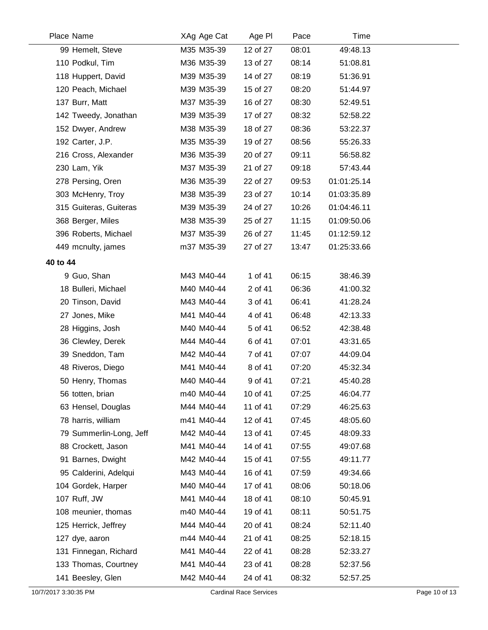|          | Place Name              | XAg Age Cat | Age PI   | Pace  | Time        |  |
|----------|-------------------------|-------------|----------|-------|-------------|--|
|          | 99 Hemelt, Steve        | M35 M35-39  | 12 of 27 | 08:01 | 49:48.13    |  |
|          | 110 Podkul, Tim         | M36 M35-39  | 13 of 27 | 08:14 | 51:08.81    |  |
|          | 118 Huppert, David      | M39 M35-39  | 14 of 27 | 08:19 | 51:36.91    |  |
|          | 120 Peach, Michael      | M39 M35-39  | 15 of 27 | 08:20 | 51:44.97    |  |
|          | 137 Burr, Matt          | M37 M35-39  | 16 of 27 | 08:30 | 52:49.51    |  |
|          | 142 Tweedy, Jonathan    | M39 M35-39  | 17 of 27 | 08:32 | 52:58.22    |  |
|          | 152 Dwyer, Andrew       | M38 M35-39  | 18 of 27 | 08:36 | 53:22.37    |  |
|          | 192 Carter, J.P.        | M35 M35-39  | 19 of 27 | 08:56 | 55:26.33    |  |
|          | 216 Cross, Alexander    | M36 M35-39  | 20 of 27 | 09:11 | 56:58.82    |  |
|          | 230 Lam, Yik            | M37 M35-39  | 21 of 27 | 09:18 | 57:43.44    |  |
|          | 278 Persing, Oren       | M36 M35-39  | 22 of 27 | 09:53 | 01:01:25.14 |  |
|          | 303 McHenry, Troy       | M38 M35-39  | 23 of 27 | 10:14 | 01:03:35.89 |  |
|          | 315 Guiteras, Guiteras  | M39 M35-39  | 24 of 27 | 10:26 | 01:04:46.11 |  |
|          | 368 Berger, Miles       | M38 M35-39  | 25 of 27 | 11:15 | 01:09:50.06 |  |
|          | 396 Roberts, Michael    | M37 M35-39  | 26 of 27 | 11:45 | 01:12:59.12 |  |
|          | 449 mcnulty, james      | m37 M35-39  | 27 of 27 | 13:47 | 01:25:33.66 |  |
| 40 to 44 |                         |             |          |       |             |  |
|          | 9 Guo, Shan             | M43 M40-44  | 1 of 41  | 06:15 | 38:46.39    |  |
|          | 18 Bulleri, Michael     | M40 M40-44  | 2 of 41  | 06:36 | 41:00.32    |  |
|          | 20 Tinson, David        | M43 M40-44  | 3 of 41  | 06:41 | 41:28.24    |  |
|          | 27 Jones, Mike          | M41 M40-44  | 4 of 41  | 06:48 | 42:13.33    |  |
|          | 28 Higgins, Josh        | M40 M40-44  | 5 of 41  | 06:52 | 42:38.48    |  |
|          | 36 Clewley, Derek       | M44 M40-44  | 6 of 41  | 07:01 | 43:31.65    |  |
|          | 39 Sneddon, Tam         | M42 M40-44  | 7 of 41  | 07:07 | 44:09.04    |  |
|          | 48 Riveros, Diego       | M41 M40-44  | 8 of 41  | 07:20 | 45:32.34    |  |
|          | 50 Henry, Thomas        | M40 M40-44  | 9 of 41  | 07:21 | 45:40.28    |  |
|          | 56 totten, brian        | m40 M40-44  | 10 of 41 | 07:25 | 46:04.77    |  |
|          | 63 Hensel, Douglas      | M44 M40-44  | 11 of 41 | 07:29 | 46:25.63    |  |
|          | 78 harris, william      | m41 M40-44  | 12 of 41 | 07:45 | 48:05.60    |  |
|          | 79 Summerlin-Long, Jeff | M42 M40-44  | 13 of 41 | 07:45 | 48:09.33    |  |
|          | 88 Crockett, Jason      | M41 M40-44  | 14 of 41 | 07:55 | 49:07.68    |  |
|          | 91 Barnes, Dwight       | M42 M40-44  | 15 of 41 | 07:55 | 49:11.77    |  |
|          | 95 Calderini, Adelqui   | M43 M40-44  | 16 of 41 | 07:59 | 49:34.66    |  |
|          | 104 Gordek, Harper      | M40 M40-44  | 17 of 41 | 08:06 | 50:18.06    |  |
|          | 107 Ruff, JW            | M41 M40-44  | 18 of 41 | 08:10 | 50:45.91    |  |
|          | 108 meunier, thomas     | m40 M40-44  | 19 of 41 | 08:11 | 50:51.75    |  |
|          | 125 Herrick, Jeffrey    | M44 M40-44  | 20 of 41 | 08:24 | 52:11.40    |  |
|          | 127 dye, aaron          | m44 M40-44  | 21 of 41 | 08:25 | 52:18.15    |  |
|          | 131 Finnegan, Richard   | M41 M40-44  | 22 of 41 | 08:28 | 52:33.27    |  |
|          | 133 Thomas, Courtney    | M41 M40-44  | 23 of 41 | 08:28 | 52:37.56    |  |
|          | 141 Beesley, Glen       | M42 M40-44  | 24 of 41 | 08:32 | 52:57.25    |  |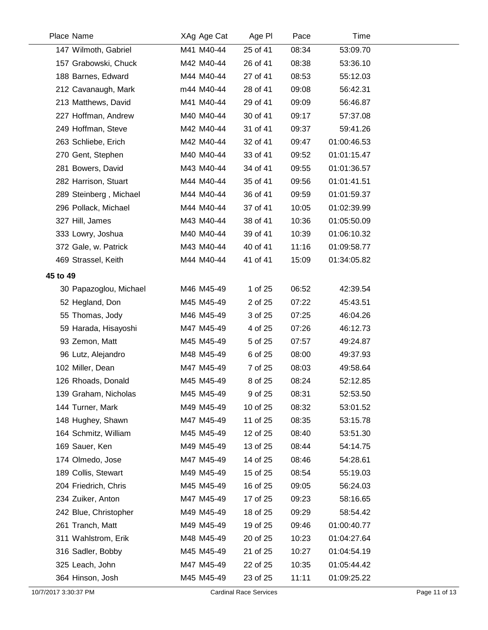| Place Name             | XAg Age Cat | Age PI   | Pace  |             | Time |  |
|------------------------|-------------|----------|-------|-------------|------|--|
| 147 Wilmoth, Gabriel   | M41 M40-44  | 25 of 41 | 08:34 | 53:09.70    |      |  |
| 157 Grabowski, Chuck   | M42 M40-44  | 26 of 41 | 08:38 | 53:36.10    |      |  |
| 188 Barnes, Edward     | M44 M40-44  | 27 of 41 | 08:53 | 55:12.03    |      |  |
| 212 Cavanaugh, Mark    | m44 M40-44  | 28 of 41 | 09:08 | 56:42.31    |      |  |
| 213 Matthews, David    | M41 M40-44  | 29 of 41 | 09:09 | 56:46.87    |      |  |
| 227 Hoffman, Andrew    | M40 M40-44  | 30 of 41 | 09:17 | 57:37.08    |      |  |
| 249 Hoffman, Steve     | M42 M40-44  | 31 of 41 | 09:37 | 59:41.26    |      |  |
| 263 Schliebe, Erich    | M42 M40-44  | 32 of 41 | 09:47 | 01:00:46.53 |      |  |
| 270 Gent, Stephen      | M40 M40-44  | 33 of 41 | 09:52 | 01:01:15.47 |      |  |
| 281 Bowers, David      | M43 M40-44  | 34 of 41 | 09:55 | 01:01:36.57 |      |  |
| 282 Harrison, Stuart   | M44 M40-44  | 35 of 41 | 09:56 | 01:01:41.51 |      |  |
| 289 Steinberg, Michael | M44 M40-44  | 36 of 41 | 09:59 | 01:01:59.37 |      |  |
| 296 Pollack, Michael   | M44 M40-44  | 37 of 41 | 10:05 | 01:02:39.99 |      |  |
| 327 Hill, James        | M43 M40-44  | 38 of 41 | 10:36 | 01:05:50.09 |      |  |
| 333 Lowry, Joshua      | M40 M40-44  | 39 of 41 | 10:39 | 01:06:10.32 |      |  |
| 372 Gale, w. Patrick   | M43 M40-44  | 40 of 41 | 11:16 | 01:09:58.77 |      |  |
| 469 Strassel, Keith    | M44 M40-44  | 41 of 41 | 15:09 | 01:34:05.82 |      |  |
| 45 to 49               |             |          |       |             |      |  |
| 30 Papazoglou, Michael | M46 M45-49  | 1 of 25  | 06:52 | 42:39.54    |      |  |
| 52 Hegland, Don        | M45 M45-49  | 2 of 25  | 07:22 | 45:43.51    |      |  |
| 55 Thomas, Jody        | M46 M45-49  | 3 of 25  | 07:25 | 46:04.26    |      |  |
| 59 Harada, Hisayoshi   | M47 M45-49  | 4 of 25  | 07:26 | 46:12.73    |      |  |
| 93 Zemon, Matt         | M45 M45-49  | 5 of 25  | 07:57 | 49:24.87    |      |  |
| 96 Lutz, Alejandro     | M48 M45-49  | 6 of 25  | 08:00 | 49:37.93    |      |  |
| 102 Miller, Dean       | M47 M45-49  | 7 of 25  | 08:03 | 49:58.64    |      |  |
| 126 Rhoads, Donald     | M45 M45-49  | 8 of 25  | 08:24 | 52:12.85    |      |  |
| 139 Graham, Nicholas   | M45 M45-49  | 9 of 25  | 08:31 | 52:53.50    |      |  |
| 144 Turner, Mark       | M49 M45-49  | 10 of 25 | 08:32 | 53:01.52    |      |  |
| 148 Hughey, Shawn      | M47 M45-49  | 11 of 25 | 08:35 | 53:15.78    |      |  |
| 164 Schmitz, William   | M45 M45-49  | 12 of 25 | 08:40 | 53:51.30    |      |  |
| 169 Sauer, Ken         | M49 M45-49  | 13 of 25 | 08:44 | 54:14.75    |      |  |
| 174 Olmedo, Jose       | M47 M45-49  | 14 of 25 | 08:46 | 54:28.61    |      |  |
| 189 Collis, Stewart    | M49 M45-49  | 15 of 25 | 08:54 | 55:19.03    |      |  |
| 204 Friedrich, Chris   | M45 M45-49  | 16 of 25 | 09:05 | 56:24.03    |      |  |
| 234 Zuiker, Anton      | M47 M45-49  | 17 of 25 | 09:23 | 58:16.65    |      |  |
| 242 Blue, Christopher  | M49 M45-49  | 18 of 25 | 09:29 | 58:54.42    |      |  |
| 261 Tranch, Matt       | M49 M45-49  | 19 of 25 | 09:46 | 01:00:40.77 |      |  |
| 311 Wahlstrom, Erik    | M48 M45-49  | 20 of 25 | 10:23 | 01:04:27.64 |      |  |
| 316 Sadler, Bobby      | M45 M45-49  | 21 of 25 | 10:27 | 01:04:54.19 |      |  |
| 325 Leach, John        | M47 M45-49  | 22 of 25 | 10:35 | 01:05:44.42 |      |  |
| 364 Hinson, Josh       | M45 M45-49  | 23 of 25 | 11:11 | 01:09:25.22 |      |  |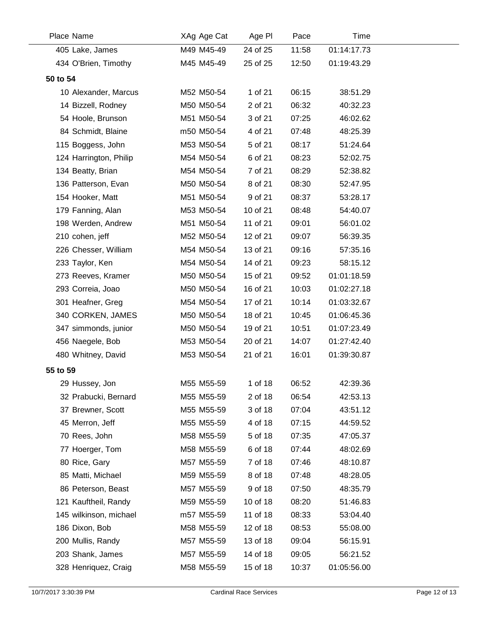| Place Name             | XAg Age Cat | Age PI   | Pace  | Time        |  |
|------------------------|-------------|----------|-------|-------------|--|
| 405 Lake, James        | M49 M45-49  | 24 of 25 | 11:58 | 01:14:17.73 |  |
| 434 O'Brien, Timothy   | M45 M45-49  | 25 of 25 | 12:50 | 01:19:43.29 |  |
| 50 to 54               |             |          |       |             |  |
| 10 Alexander, Marcus   | M52 M50-54  | 1 of 21  | 06:15 | 38:51.29    |  |
| 14 Bizzell, Rodney     | M50 M50-54  | 2 of 21  | 06:32 | 40:32.23    |  |
| 54 Hoole, Brunson      | M51 M50-54  | 3 of 21  | 07:25 | 46:02.62    |  |
| 84 Schmidt, Blaine     | m50 M50-54  | 4 of 21  | 07:48 | 48:25.39    |  |
| 115 Boggess, John      | M53 M50-54  | 5 of 21  | 08:17 | 51:24.64    |  |
| 124 Harrington, Philip | M54 M50-54  | 6 of 21  | 08:23 | 52:02.75    |  |
| 134 Beatty, Brian      | M54 M50-54  | 7 of 21  | 08:29 | 52:38.82    |  |
| 136 Patterson, Evan    | M50 M50-54  | 8 of 21  | 08:30 | 52:47.95    |  |
| 154 Hooker, Matt       | M51 M50-54  | 9 of 21  | 08:37 | 53:28.17    |  |
| 179 Fanning, Alan      | M53 M50-54  | 10 of 21 | 08:48 | 54:40.07    |  |
| 198 Werden, Andrew     | M51 M50-54  | 11 of 21 | 09:01 | 56:01.02    |  |
| 210 cohen, jeff        | M52 M50-54  | 12 of 21 | 09:07 | 56:39.35    |  |
| 226 Chesser, William   | M54 M50-54  | 13 of 21 | 09:16 | 57:35.16    |  |
| 233 Taylor, Ken        | M54 M50-54  | 14 of 21 | 09:23 | 58:15.12    |  |
| 273 Reeves, Kramer     | M50 M50-54  | 15 of 21 | 09:52 | 01:01:18.59 |  |
| 293 Correia, Joao      | M50 M50-54  | 16 of 21 | 10:03 | 01:02:27.18 |  |
| 301 Heafner, Greg      | M54 M50-54  | 17 of 21 | 10:14 | 01:03:32.67 |  |
| 340 CORKEN, JAMES      | M50 M50-54  | 18 of 21 | 10:45 | 01:06:45.36 |  |
| 347 simmonds, junior   | M50 M50-54  | 19 of 21 | 10:51 | 01:07:23.49 |  |
| 456 Naegele, Bob       | M53 M50-54  | 20 of 21 | 14:07 | 01:27:42.40 |  |
| 480 Whitney, David     | M53 M50-54  | 21 of 21 | 16:01 | 01:39:30.87 |  |
| 55 to 59               |             |          |       |             |  |
| 29 Hussey, Jon         | M55 M55-59  | 1 of 18  | 06:52 | 42:39.36    |  |
| 32 Prabucki, Bernard   | M55 M55-59  | 2 of 18  | 06:54 | 42:53.13    |  |
| 37 Brewner, Scott      | M55 M55-59  | 3 of 18  | 07:04 | 43:51.12    |  |
| 45 Merron, Jeff        | M55 M55-59  | 4 of 18  | 07:15 | 44:59.52    |  |
| 70 Rees, John          | M58 M55-59  | 5 of 18  | 07:35 | 47:05.37    |  |
| 77 Hoerger, Tom        | M58 M55-59  | 6 of 18  | 07:44 | 48:02.69    |  |
| 80 Rice, Gary          | M57 M55-59  | 7 of 18  | 07:46 | 48:10.87    |  |
| 85 Matti, Michael      | M59 M55-59  | 8 of 18  | 07:48 | 48:28.05    |  |
| 86 Peterson, Beast     | M57 M55-59  | 9 of 18  | 07:50 | 48:35.79    |  |
| 121 Kauftheil, Randy   | M59 M55-59  | 10 of 18 | 08:20 | 51:46.83    |  |
| 145 wilkinson, michael | m57 M55-59  | 11 of 18 | 08:33 | 53:04.40    |  |
| 186 Dixon, Bob         | M58 M55-59  | 12 of 18 | 08:53 | 55:08.00    |  |
| 200 Mullis, Randy      | M57 M55-59  | 13 of 18 | 09:04 | 56:15.91    |  |
| 203 Shank, James       | M57 M55-59  | 14 of 18 | 09:05 | 56:21.52    |  |
| 328 Henriquez, Craig   | M58 M55-59  | 15 of 18 | 10:37 | 01:05:56.00 |  |